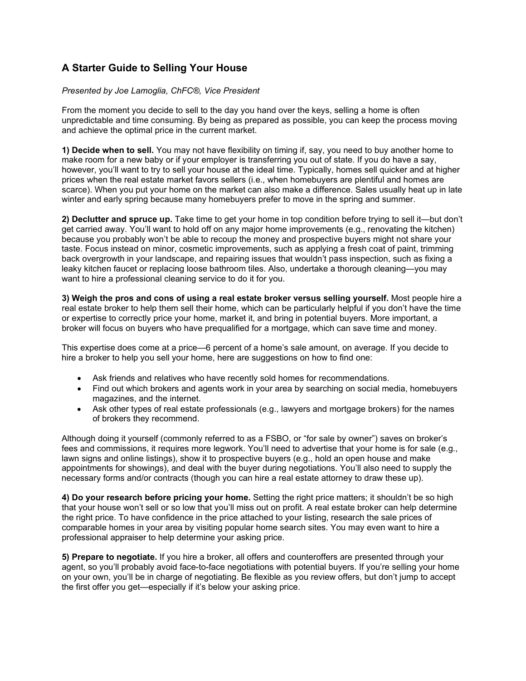## **A Starter Guide to Selling Your House**

## *Presented by Joe Lamoglia, ChFC®, Vice President*

From the moment you decide to sell to the day you hand over the keys, selling a home is often unpredictable and time consuming. By being as prepared as possible, you can keep the process moving and achieve the optimal price in the current market.

**1) Decide when to sell.** You may not have flexibility on timing if, say, you need to buy another home to make room for a new baby or if your employer is transferring you out of state. If you do have a say, however, you'll want to try to sell your house at the ideal time. Typically, homes sell quicker and at higher prices when the real estate market favors sellers (i.e., when homebuyers are plentiful and homes are scarce). When you put your home on the market can also make a difference. Sales usually heat up in late winter and early spring because many homebuyers prefer to move in the spring and summer.

**2) Declutter and spruce up.** Take time to get your home in top condition before trying to sell it—but don't get carried away. You'll want to hold off on any major home improvements (e.g., renovating the kitchen) because you probably won't be able to recoup the money and prospective buyers might not share your taste. Focus instead on minor, cosmetic improvements, such as applying a fresh coat of paint, trimming back overgrowth in your landscape, and repairing issues that wouldn't pass inspection, such as fixing a leaky kitchen faucet or replacing loose bathroom tiles. Also, undertake a thorough cleaning—you may want to hire a professional cleaning service to do it for you.

**3) Weigh the pros and cons of using a real estate broker versus selling yourself.** Most people hire a real estate broker to help them sell their home, which can be particularly helpful if you don't have the time or expertise to correctly price your home, market it, and bring in potential buyers. More important, a broker will focus on buyers who have prequalified for a mortgage, which can save time and money.

This expertise does come at a price—6 percent of a home's sale amount, on average. If you decide to hire a broker to help you sell your home, here are suggestions on how to find one:

- Ask friends and relatives who have recently sold homes for recommendations.
- Find out which brokers and agents work in your area by searching on social media, homebuyers magazines, and the internet.
- Ask other types of real estate professionals (e.g., lawyers and mortgage brokers) for the names of brokers they recommend.

Although doing it yourself (commonly referred to as a FSBO, or "for sale by owner") saves on broker's fees and commissions, it requires more legwork. You'll need to advertise that your home is for sale (e.g., lawn signs and online listings), show it to prospective buyers (e.g., hold an open house and make appointments for showings), and deal with the buyer during negotiations. You'll also need to supply the necessary forms and/or contracts (though you can hire a real estate attorney to draw these up).

**4) Do your research before pricing your home.** Setting the right price matters; it shouldn't be so high that your house won't sell or so low that you'll miss out on profit. A real estate broker can help determine the right price. To have confidence in the price attached to your listing, research the sale prices of comparable homes in your area by visiting popular home search sites. You may even want to hire a professional appraiser to help determine your asking price.

**5) Prepare to negotiate.** If you hire a broker, all offers and counteroffers are presented through your agent, so you'll probably avoid face-to-face negotiations with potential buyers. If you're selling your home on your own, you'll be in charge of negotiating. Be flexible as you review offers, but don't jump to accept the first offer you get—especially if it's below your asking price.